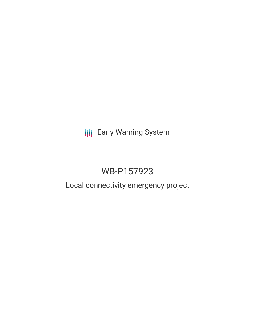# **III** Early Warning System

# WB-P157923

### Local connectivity emergency project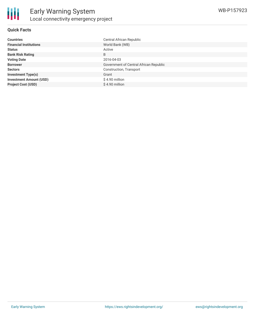

| <b>Countries</b>               | Central African Republic               |
|--------------------------------|----------------------------------------|
| <b>Financial Institutions</b>  | World Bank (WB)                        |
| <b>Status</b>                  | Active                                 |
| <b>Bank Risk Rating</b>        | B                                      |
| <b>Voting Date</b>             | 2016-04-03                             |
| <b>Borrower</b>                | Government of Central African Republic |
| <b>Sectors</b>                 | Construction, Transport                |
| <b>Investment Type(s)</b>      | Grant                                  |
| <b>Investment Amount (USD)</b> | \$4.90 million                         |
| <b>Project Cost (USD)</b>      | \$4.90 million                         |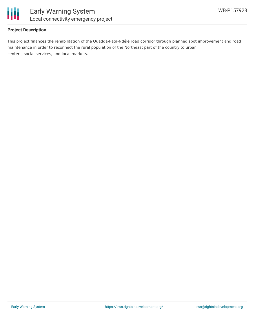

#### **Project Description**

This project finances the rehabilitation of the Ouadda-Pata-Ndélé road corridor through planned spot improvement and road maintenance in order to reconnect the rural population of the Northeast part of the country to urban centers, social services, and local markets.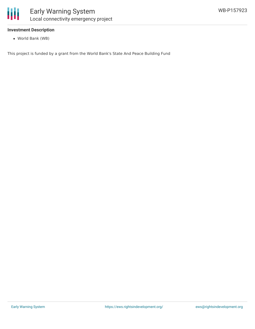

#### **Investment Description**

World Bank (WB)

This project is funded by a grant from the World Bank's State And Peace Building Fund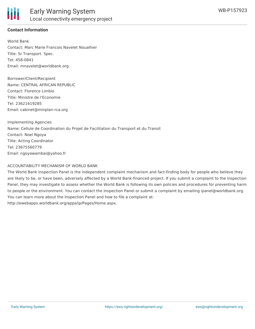

#### **Contact Information**

World Bank Contact: Marc Marie Francois Navelet Noualhier Title: Sr Transport. Spec. Tel: 458-0841 Email: mnavelet@worldbank.org

Borrower/Client/Recipient Name: CENTRAL AFRICAN REPUBLIC Contact: Florence Limbio Title: Ministre de l'Economie Tel: 23621619285 Email: cabinet@minplan-rca.org

Implementing Agencies Name: Cellule de Coordination du Projet de Facilitation du Transport et du Transit Contact: Noel Ngoya Title: Acting Coordinator Tel: 23675560779 Email: ngoyawambai@yahoo.fr

#### ACCOUNTABILITY MECHANISM OF WORLD BANK

The World Bank Inspection Panel is the independent complaint mechanism and fact-finding body for people who believe they are likely to be, or have been, adversely affected by a World Bank-financed project. If you submit a complaint to the Inspection Panel, they may investigate to assess whether the World Bank is following its own policies and procedures for preventing harm to people or the environment. You can contact the Inspection Panel or submit a complaint by emailing ipanel@worldbank.org. You can learn more about the Inspection Panel and how to file a complaint at: http://ewebapps.worldbank.org/apps/ip/Pages/Home.aspx.